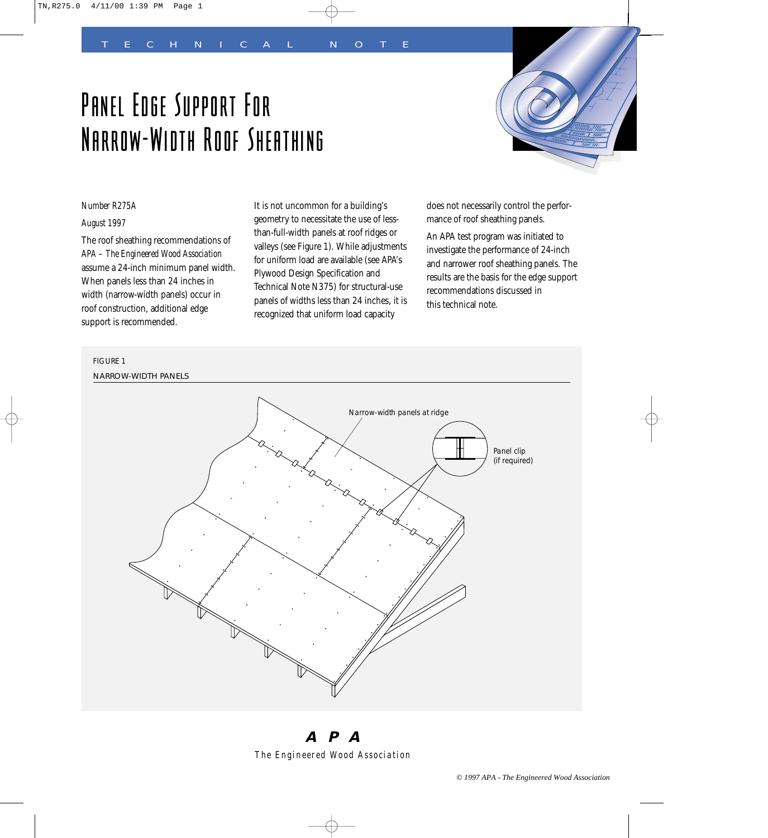# Panel Edge Support For Narrow-Width Roof Sheathing



# *Number R275A*

# *August 1997*

The roof sheathing recommendations of *APA – The Engineered Wood Association* assume a 24-inch minimum panel width. When panels less than 24 inches in width (narrow-width panels) occur in roof construction, additional edge support is recommended.

It is not uncommon for a building's geometry to necessitate the use of lessthan-full-width panels at roof ridges or valleys (see Figure 1). While adjustments for uniform load are available (see APA's Plywood Design Specification and Technical Note N375) for structural-use panels of widths less than 24 inches, it is recognized that uniform load capacity

does not necessarily control the performance of roof sheathing panels.

An APA test program was initiated to investigate the performance of 24-inch and narrower roof sheathing panels. The results are the basis for the edge support recommendations discussed in this technical note.





**APA** *The Engineered Wood Association*